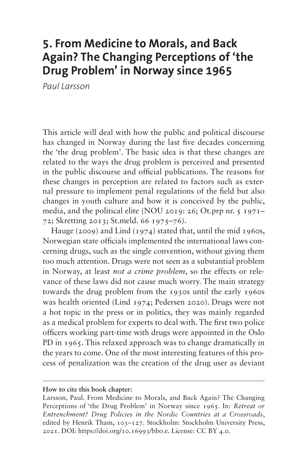# **5. From Medicine to Morals, and Back Again? The Changing Perceptions of 'the Drug Problem' in Norway since 1965**

*Paul Larsson*

This article will deal with how the public and political discourse has changed in Norway during the last five decades concerning the 'the drug problem'. The basic idea is that these changes are related to the ways the drug problem is perceived and presented in the public discourse and official publications. The reasons for these changes in perception are related to factors such as external pressure to implement penal regulations of the field but also changes in youth culture and how it is conceived by the public, media, and the political elite (NOU 2019: 26; Ot.prp nr. 5 1971– 72; Skretting 2013; St.meld. 66 1975–76).

Hauge (2009) and Lind (1974) stated that, until the mid 1960s, Norwegian state officials implemented the international laws concerning drugs, such as the single convention, without giving them too much attention. Drugs were not seen as a substantial problem in Norway, at least *not a crime problem*, so the effects or relevance of these laws did not cause much worry. The main strategy towards the drug problem from the 1930s until the early 1960s was health oriented (Lind 1974; Pedersen 2020). Drugs were not a hot topic in the press or in politics, they was mainly regarded as a medical problem for experts to deal with. The first two police officers working part-time with drugs were appointed in the Oslo PD in 1965. This relaxed approach was to change dramatically in the years to come. One of the most interesting features of this process of penalization was the creation of the drug user as deviant

#### **How to cite this book chapter:**

Larsson, Paul. From Medicine to Morals, and Back Again? The Changing Perceptions of 'the Drug Problem' in Norway since 1965. In: *Retreat or Entrenchment? Drug Policies in the Nordic Countries at a Crossroads*, edited by Henrik Tham, 103–127. Stockholm: Stockholm University Press, 2021. DOI: [https://doi.org/10.16993/bbo.e.](https://doi.org/10.16993/bbo.e) License: CC BY 4.0.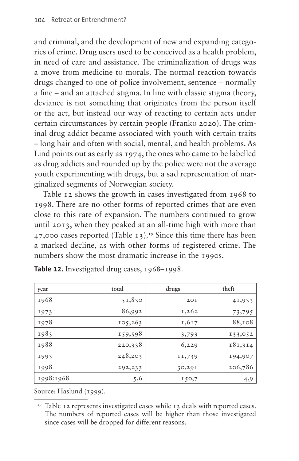and criminal, and the development of new and expanding categories of crime. Drug users used to be conceived as a health problem, in need of care and assistance. The criminalization of drugs was a move from medicine to morals. The normal reaction towards drugs changed to one of police involvement, sentence – normally a fine – and an attached stigma. In line with classic stigma theory, deviance is not something that originates from the person itself or the act, but instead our way of reacting to certain acts under certain circumstances by certain people (Franko 2020). The criminal drug addict became associated with youth with certain traits – long hair and often with social, mental, and health problems. As Lind points out as early as 1974, the ones who came to be labelled as drug addicts and rounded up by the police were not the average youth experimenting with drugs, but a sad representation of marginalized segments of Norwegian society.

[Table 12](#page-1-0) shows the growth in cases investigated from 1968 to 1998. There are no other forms of reported crimes that are even close to this rate of expansion. The numbers continued to grow until 2013, when they peaked at an all-time high with more than 47,000 cases reported [\(Table 13\)](#page-2-0)[.19](#page-1-1) Since this time there has been a marked decline, as with other forms of registered crime. The numbers show the most dramatic increase in the 1990s.

| year      | total   | drugs  | theft   |  |
|-----------|---------|--------|---------|--|
| 1968      | 51,830  | 20I    | 41,933  |  |
| 1973      | 86,992  | 1,262  | 73,795  |  |
| 1978      | 105,263 | 1,617  | 88,108  |  |
| 1983      | 159,598 | 3,793  | 133,052 |  |
| 1988      | 220,338 | 6,229  | 181,314 |  |
| 1993      | 248,203 | II,739 | 194,907 |  |
| 1998      | 292,233 | 30,291 | 206,786 |  |
| 1998:1968 | 5,6     | 150,7  | 4,9     |  |

<span id="page-1-0"></span>**Table 12.** Investigated drug cases, 1968–1998.

Source: Haslund (1999).

<span id="page-1-1"></span><sup>&</sup>lt;sup>19</sup> [Table 12](#page-1-0) represents investigated cases while 13 deals with reported cases. The numbers of reported cases will be higher than those investigated since cases will be dropped for different reasons.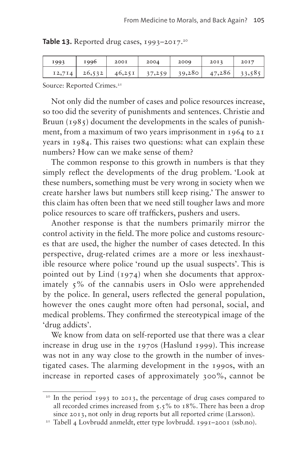<span id="page-2-0"></span>

|  |  |  |  | <b>Table 13.</b> Reported drug cases, 1993–2017. <sup>20</sup> |  |  |  |  |  |
|--|--|--|--|----------------------------------------------------------------|--|--|--|--|--|
|--|--|--|--|----------------------------------------------------------------|--|--|--|--|--|

| 1993   | 1996   | 200I   | 2004   | 2009   | 20I3   | 2017   |
|--------|--------|--------|--------|--------|--------|--------|
| 12,714 | 26,532 | 46,251 | 37,259 | 39,280 | 47,286 | 33,585 |

Source: Reported Crimes.<sup>21</sup>

Not only did the number of cases and police resources increase, so too did the severity of punishments and sentences. Christie and Bruun  $(1985)$  document the developments in the scales of punishment, from a maximum of two years imprisonment in 1964 to 21 years in 1984. This raises two questions: what can explain these numbers? How can we make sense of them?

The common response to this growth in numbers is that they simply reflect the developments of the drug problem. 'Look at these numbers, something must be very wrong in society when we create harsher laws but numbers still keep rising.' The answer to this claim has often been that we need still tougher laws and more police resources to scare off traffickers, pushers and users.

Another response is that the numbers primarily mirror the control activity in the field. The more police and customs resources that are used, the higher the number of cases detected. In this perspective, drug-related crimes are a more or less inexhaustible resource where police 'round up the usual suspects'. This is pointed out by Lind (1974) when she documents that approximately 5% of the cannabis users in Oslo were apprehended by the police. In general, users reflected the general population, however the ones caught more often had personal, social, and medical problems. They confirmed the stereotypical image of the 'drug addicts'.

We know from data on self-reported use that there was a clear increase in drug use in the 1970s (Haslund 1999). This increase was not in any way close to the growth in the number of investigated cases. The alarming development in the 1990s, with an increase in reported cases of approximately 300%, cannot be

<span id="page-2-1"></span><sup>20</sup> In the period 1993 to 2013, the percentage of drug cases compared to all recorded crimes increased from 5.5% to 18%. There has been a drop since 2013, not only in drug reports but all reported crime (Larsson).

<span id="page-2-2"></span><sup>21</sup> [Tabell 4 Lovbrudd anmeldt, etter type lovbrudd. 1991–2001 \(ssb.no\).](https://www.ssb.no/a/kortnavn/a_krim_tab/tab/tab-2002-05-30-04.html)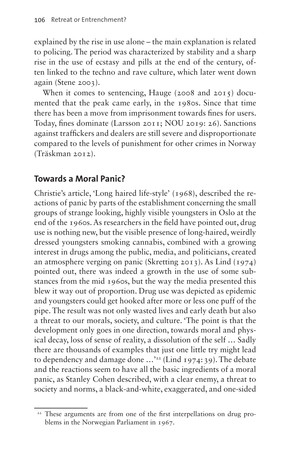explained by the rise in use alone – the main explanation is related to policing. The period was characterized by stability and a sharp rise in the use of ecstasy and pills at the end of the century, often linked to the techno and rave culture, which later went down again (Stene 2003).

When it comes to sentencing, Hauge (2008 and 2015) documented that the peak came early, in the 1980s. Since that time there has been a move from imprisonment towards fines for users. Today, fines dominate (Larsson 2011; NOU 2019: 26). Sanctions against traffickers and dealers are still severe and disproportionate compared to the levels of punishment for other crimes in Norway (Träskman 2012).

# **Towards a Moral Panic?**

Christie's article, 'Long haired life-style' (1968), described the reactions of panic by parts of the establishment concerning the small groups of strange looking, highly visible youngsters in Oslo at the end of the 1960s. As researchers in the field have pointed out, drug use is nothing new, but the visible presence of long-haired, weirdly dressed youngsters smoking cannabis, combined with a growing interest in drugs among the public, media, and politicians, created an atmosphere verging on panic (Skretting 2013). As Lind (1974) pointed out, there was indeed a growth in the use of some substances from the mid 1960s, but the way the media presented this blew it way out of proportion. Drug use was depicted as epidemic and youngsters could get hooked after more or less one puff of the pipe. The result was not only wasted lives and early death but also a threat to our morals, society, and culture. 'The point is that the development only goes in one direction, towards moral and physical decay, loss of sense of reality, a dissolution of the self … Sadly there are thousands of examples that just one little try might lead to dependency and damage done  $\ldots$ <sup>22</sup> (Lind 1974:39). The debate and the reactions seem to have all the basic ingredients of a moral panic, as Stanley Cohen described, with a clear enemy, a threat to society and norms, a black-and-white, exaggerated, and one-sided

<span id="page-3-0"></span><sup>&</sup>lt;sup>22</sup> These arguments are from one of the first interpellations on drug problems in the Norwegian Parliament in 1967.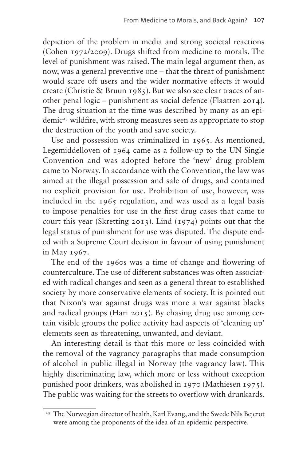depiction of the problem in media and strong societal reactions (Cohen 1972/2009). Drugs shifted from medicine to morals. The level of punishment was raised. The main legal argument then, as now, was a general preventive one – that the threat of punishment would scare off users and the wider normative effects it would create (Christie & Bruun 1985). But we also see clear traces of another penal logic – punishment as social defence (Flaatten 2014). The drug situation at the time was described by many as an epidemic[23](#page-4-0) wildfire, with strong measures seen as appropriate to stop the destruction of the youth and save society.

Use and possession was criminalized in 1965. As mentioned, Legemiddelloven of 1964 came as a follow-up to the UN Single Convention and was adopted before the 'new' drug problem came to Norway. In accordance with the Convention, the law was aimed at the illegal possession and sale of drugs, and contained no explicit provision for use. Prohibition of use, however, was included in the 1965 regulation, and was used as a legal basis to impose penalties for use in the first drug cases that came to court this year (Skretting 2013). Lind (1974) points out that the legal status of punishment for use was disputed. The dispute ended with a Supreme Court decision in favour of using punishment in May 1967.

The end of the 1960s was a time of change and flowering of counterculture. The use of different substances was often associated with radical changes and seen as a general threat to established society by more conservative elements of society. It is pointed out that Nixon's war against drugs was more a war against blacks and radical groups (Hari 2015). By chasing drug use among certain visible groups the police activity had aspects of 'cleaning up' elements seen as threatening, unwanted, and deviant.

An interesting detail is that this more or less coincided with the removal of the vagrancy paragraphs that made consumption of alcohol in public illegal in Norway (the vagrancy law). This highly discriminating law, which more or less without exception punished poor drinkers, was abolished in 1970 (Mathiesen 1975). The public was waiting for the streets to overflow with drunkards.

<span id="page-4-0"></span><sup>&</sup>lt;sup>23</sup> The Norwegian director of health, Karl Evang, and the Swede Nils Bejerot were among the proponents of the idea of an epidemic perspective.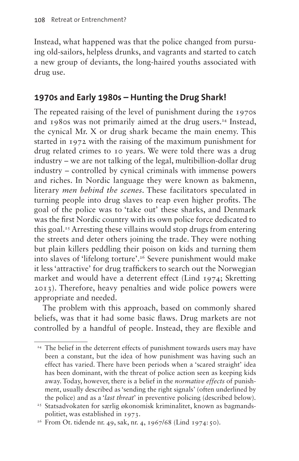Instead, what happened was that the police changed from pursuing old-sailors, helpless drunks, and vagrants and started to catch a new group of deviants, the long-haired youths associated with drug use.

# **1970s and Early 1980s – Hunting the Drug Shark!**

The repeated raising of the level of punishment during the 1970s and 1980s was not primarily aimed at the drug users.<sup>24</sup> Instead, the cynical Mr. X or drug shark became the main enemy. This started in 1972 with the raising of the maximum punishment for drug related crimes to 10 years. We were told there was a drug industry – we are not talking of the legal, multibillion-dollar drug industry – controlled by cynical criminals with immense powers and riches. In Nordic language they were known as bakmenn, literary *men behind the scenes*. These facilitators speculated in turning people into drug slaves to reap even higher profits. The goal of the police was to 'take out' these sharks, and Denmark was the first Nordic country with its own police force dedicated to this goal[.25](#page-5-1) Arresting these villains would stop drugs from entering the streets and deter others joining the trade. They were nothing but plain killers peddling their poison on kids and turning them into slaves of 'lifelong torture'[.26](#page-5-2) Severe punishment would make it less 'attractive' for drug traffickers to search out the Norwegian market and would have a deterrent effect (Lind 1974; Skretting 2013). Therefore, heavy penalties and wide police powers were appropriate and needed.

The problem with this approach, based on commonly shared beliefs, was that it had some basic flaws. Drug markets are not controlled by a handful of people. Instead, they are flexible and

<span id="page-5-0"></span><sup>&</sup>lt;sup>24</sup> The belief in the deterrent effects of punishment towards users may have been a constant, but the idea of how punishment was having such an effect has varied. There have been periods when a 'scared straight' idea has been dominant, with the threat of police action seen as keeping kids away. Today, however, there is a belief in the *normative effects* of punishment, usually described as 'sending the right signals' (often underlined by the police) and as a '*last threat*' in preventive policing (described below).

<span id="page-5-1"></span><sup>&</sup>lt;sup>25</sup> Statsadvokaten for særlig økonomisk kriminalitet, known as bagmandspolitiet, was established in 1973.

<span id="page-5-2"></span><sup>&</sup>lt;sup>26</sup> From Ot. tidende nr. 49, sak, nr. 4, 1967/68 (Lind 1974: 50).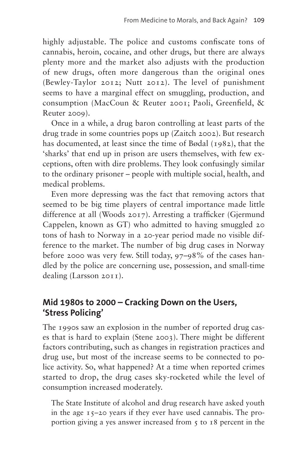highly adjustable. The police and customs confiscate tons of cannabis, heroin, cocaine, and other drugs, but there are always plenty more and the market also adjusts with the production of new drugs, often more dangerous than the original ones (Bewley-Taylor 2012; Nutt 2012). The level of punishment seems to have a marginal effect on smuggling, production, and consumption (MacCoun & Reuter 2001; Paoli, Greenfield, & Reuter 2009).

Once in a while, a drug baron controlling at least parts of the drug trade in some countries pops up (Zaitch 2002). But research has documented, at least since the time of Bødal (1982), that the 'sharks' that end up in prison are users themselves, with few exceptions, often with dire problems. They look confusingly similar to the ordinary prisoner – people with multiple social, health, and medical problems.

Even more depressing was the fact that removing actors that seemed to be big time players of central importance made little difference at all (Woods 2017). Arresting a trafficker (Gjermund Cappelen, known as GT) who admitted to having smuggled 20 tons of hash to Norway in a 20-year period made no visible difference to the market. The number of big drug cases in Norway before 2000 was very few. Still today, 97–98% of the cases handled by the police are concerning use, possession, and small-time dealing (Larsson 2011).

# **Mid 1980s to 2000 – Cracking Down on the Users, 'Stress Policing'**

The 1990s saw an explosion in the number of reported drug cases that is hard to explain (Stene 2003). There might be different factors contributing, such as changes in registration practices and drug use, but most of the increase seems to be connected to police activity. So, what happened? At a time when reported crimes started to drop, the drug cases sky-rocketed while the level of consumption increased moderately.

The State Institute of alcohol and drug research have asked youth in the age 15–20 years if they ever have used cannabis. The proportion giving a yes answer increased from  $\zeta$  to 18 percent in the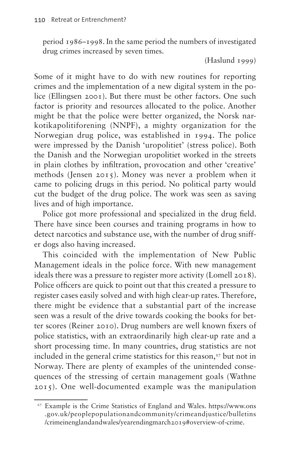period 1986–1998. In the same period the numbers of investigated drug crimes increased by seven times.

(Haslund 1999)

Some of it might have to do with new routines for reporting crimes and the implementation of a new digital system in the police (Ellingsen 2001). But there must be other factors. One such factor is priority and resources allocated to the police. Another might be that the police were better organized, the Norsk narkotikapolitiforening (NNPF), a mighty organization for the Norwegian drug police, was established in 1994. The police were impressed by the Danish 'uropolitiet' (stress police). Both the Danish and the Norwegian uropolitiet worked in the streets in plain clothes by infiltration, provocation and other 'creative' methods (Jensen 2015). Money was never a problem when it came to policing drugs in this period. No political party would cut the budget of the drug police. The work was seen as saving lives and of high importance.

Police got more professional and specialized in the drug field. There have since been courses and training programs in how to detect narcotics and substance use, with the number of drug sniffer dogs also having increased.

This coincided with the implementation of New Public Management ideals in the police force. With new management ideals there was a pressure to register more activity (Lomell 2018). Police officers are quick to point out that this created a pressure to register cases easily solved and with high clear-up rates. Therefore, there might be evidence that a substantial part of the increase seen was a result of the drive towards cooking the books for better scores (Reiner 2010). Drug numbers are well known fixers of police statistics, with an extraordinarily high clear-up rate and a short processing time. In many countries, drug statistics are not included in the general crime statistics for this reason,<sup>27</sup> but not in Norway. There are plenty of examples of the unintended consequences of the stressing of certain management goals (Wathne 2015). One well-documented example was the manipulation

<span id="page-7-0"></span><sup>27</sup> Example is the Crime Statistics of England and Wales. [https://www.ons](https://www.ons.gov.uk/peoplepopulationandcommunity/crimeandjustice/bulletins/crimeinenglandandwales/yearendingmarch2019#overview-of-crime) [.gov.uk/peoplepopulationandcommunity/crimeandjustice/bulletins](https://www.ons.gov.uk/peoplepopulationandcommunity/crimeandjustice/bulletins/crimeinenglandandwales/yearendingmarch2019#overview-of-crime) [/crimeinenglandandwales/yearendingmarch2019#overview-of-crime.](https://www.ons.gov.uk/peoplepopulationandcommunity/crimeandjustice/bulletins/crimeinenglandandwales/yearendingmarch2019#overview-of-crime)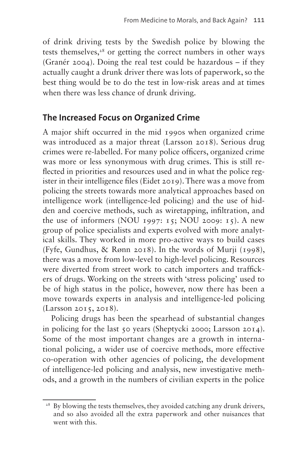of drink driving tests by the Swedish police by blowing the tests themselves, $28$  or getting the correct numbers in other ways (Granér 2004). Doing the real test could be hazardous – if they actually caught a drunk driver there was lots of paperwork, so the best thing would be to do the test in low-risk areas and at times when there was less chance of drunk driving.

#### **The Increased Focus on Organized Crime**

A major shift occurred in the mid 1990s when organized crime was introduced as a major threat (Larsson 2018). Serious drug crimes were re-labelled. For many police officers, organized crime was more or less synonymous with drug crimes. This is still reflected in priorities and resources used and in what the police register in their intelligence files (Eidet 2019). There was a move from policing the streets towards more analytical approaches based on intelligence work (intelligence-led policing) and the use of hidden and coercive methods, such as wiretapping, infiltration, and the use of informers (NOU 1997: 15; NOU 2009: 15). A new group of police specialists and experts evolved with more analytical skills. They worked in more pro-active ways to build cases (Fyfe, Gundhus, & Rønn 2018). In the words of Murji (1998), there was a move from low-level to high-level policing. Resources were diverted from street work to catch importers and traffickers of drugs. Working on the streets with 'stress policing' used to be of high status in the police, however, now there has been a move towards experts in analysis and intelligence-led policing (Larsson 2015, 2018).

Policing drugs has been the spearhead of substantial changes in policing for the last 50 years (Sheptycki 2000; Larsson 2014). Some of the most important changes are a growth in international policing, a wider use of coercive methods, more effective co-operation with other agencies of policing, the development of intelligence-led policing and analysis, new investigative methods, and a growth in the numbers of civilian experts in the police

<span id="page-8-0"></span><sup>&</sup>lt;sup>28</sup> By blowing the tests themselves, they avoided catching any drunk drivers, and so also avoided all the extra paperwork and other nuisances that went with this.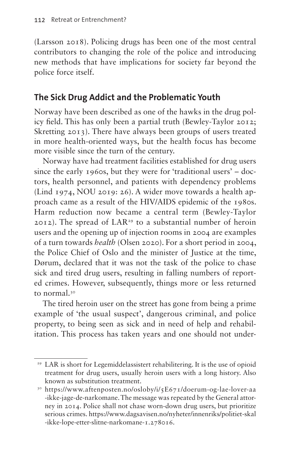(Larsson 2018). Policing drugs has been one of the most central contributors to changing the role of the police and introducing new methods that have implications for society far beyond the police force itself.

### **The Sick Drug Addict and the Problematic Youth**

Norway have been described as one of the hawks in the drug policy field. This has only been a partial truth (Bewley-Taylor 2012; Skretting 2013). There have always been groups of users treated in more health-oriented ways, but the health focus has become more visible since the turn of the century.

Norway have had treatment facilities established for drug users since the early 1960s, but they were for 'traditional users' – doctors, health personnel, and patients with dependency problems (Lind 1974, NOU 2019: 26). A wider move towards a health approach came as a result of the HIV/AIDS epidemic of the 1980s. Harm reduction now became a central term (Bewley-Taylor 2012). The spread of LAR<sup>29</sup> to a substantial number of heroin users and the opening up of injection rooms in 2004 are examples of a turn towards *health* (Olsen 2020). For a short period in 2004, the Police Chief of Oslo and the minister of Justice at the time, Dørum, declared that it was not the task of the police to chase sick and tired drug users, resulting in falling numbers of reported crimes. However, subsequently, things more or less returned to normal[.30](#page-9-1)

The tired heroin user on the street has gone from being a prime example of 'the usual suspect', dangerous criminal, and police property, to being seen as sick and in need of help and rehabilitation. This process has taken years and one should not under-

<span id="page-9-0"></span><sup>29</sup> LAR is short for Legemiddelassistert rehabilitering. It is the use of opioid treatment for drug users, usually heroin users with a long history. Also known as substitution treatment.

<span id="page-9-1"></span><sup>30</sup> [https://www.aftenposten.no/osloby/i/5E671/doerum-og-lae-lover-aa](https://www.aftenposten.no/osloby/i/5E671/doerum-og-lae-lover-aa-ikke-jage-de-narkomane) [-ikke-jage-de-narkomane.](https://www.aftenposten.no/osloby/i/5E671/doerum-og-lae-lover-aa-ikke-jage-de-narkomane) The message was repeated by the General attorney in 2014. Police shall not chase worn-down drug users, but prioritize serious crimes. [https://www.dagsavisen.no/nyheter/innenriks/politiet-skal](https://www.dagsavisen.no/nyheter/innenriks/politiet-skal-ikke-lope-etter-slitne-narkomane-1.278016) [-ikke-lope-etter-slitne-narkomane-1.278016.](https://www.dagsavisen.no/nyheter/innenriks/politiet-skal-ikke-lope-etter-slitne-narkomane-1.278016)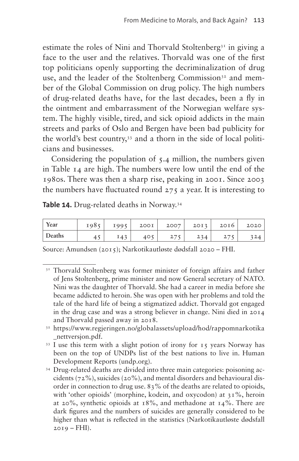estimate the roles of Nini and Thorvald Stoltenberg<sup>31</sup> in giving a face to the user and the relatives. Thorvald was one of the first top politicians openly supporting the decriminalization of drug use, and the leader of the Stoltenberg Commission<sup>32</sup> and member of the Global Commission on drug policy. The high numbers of drug-related deaths have, for the last decades, been a fly in the ointment and embarrassment of the Norwegian welfare system. The highly visible, tired, and sick opioid addicts in the main streets and parks of Oslo and Bergen have been bad publicity for the world's best country,<sup>33</sup> and a thorn in the side of local politicians and businesses.

Considering the population of 5.4 million, the numbers given in [Table 14](#page-10-3) are high. The numbers were low until the end of the 1980s. There was then a sharp rise, peaking in 2001. Since 2003 the numbers have fluctuated round  $275$  a year. It is interesting to

<span id="page-10-3"></span>**Table 14.** Drug-related deaths in Norway[.34](#page-10-4)

| Year   | 1985 | 1995   | 200I | 2007     | 2013 | 20I6 | 2020 |
|--------|------|--------|------|----------|------|------|------|
| Deaths | . .  | $T_A2$ | 40 F | 277<br>∠ | 234  |      |      |

Source: Amundsen (2015); Narkotikautløste dødsfall 2020 – FHI.

<span id="page-10-0"></span><sup>&</sup>lt;sup>31</sup> Thorvald Stoltenberg was former minister of foreign affairs and father of Jens Stoltenberg, prime minister and now General secretary of NATO. Nini was the daughter of Thorvald. She had a career in media before she became addicted to heroin. She was open with her problems and told the tale of the hard life of being a stigmatized addict. Thorvald got engaged in the drug case and was a strong believer in change. Nini died in 2014 and Thorvald passed away in 2018.

<span id="page-10-1"></span><sup>32</sup> [https://www.regjeringen.no/globalassets/upload/hod/rappomnarkotika](https://www.regjeringen.no/globalassets/upload/hod/rappomnarkotika_nettversjon.pdf) [\\_nettversjon.pdf.](https://www.regjeringen.no/globalassets/upload/hod/rappomnarkotika_nettversjon.pdf)

<span id="page-10-2"></span><sup>33</sup> I use this term with a slight potion of irony for 15 years Norway has been on the top of UNDPs list of the best nations to live in. [Human](http://hdr.undp.org/en/countries) [Development Reports \(undp.org\)](http://hdr.undp.org/en/countries). 34 Drug-related deaths are divided into three main categories: poisoning ac-

<span id="page-10-4"></span>cidents (72%), suicides (20%), and mental disorders and behavioural disorder in connection to drug use. 83% of the deaths are related to opioids, with 'other opioids' (morphine, kodein, and oxycodon) at 31%, heroin at 20%, synthetic opioids at 18%, and methadone at 14%. There are dark figures and the numbers of suicides are generally considered to be higher than what is reflected in the statistics (Narkotikautløste dødsfall  $2019 - FHI$ ).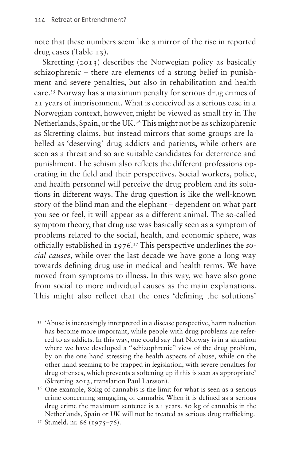note that these numbers seem like a mirror of the rise in reported drug cases ([Table 13\)](#page-2-0).

Skretting (2013) describes the Norwegian policy as basically schizophrenic – there are elements of a strong belief in punishment and severe penalties, but also in rehabilitation and health care.[35](#page-11-0) Norway has a maximum penalty for serious drug crimes of 21 years of imprisonment. What is conceived as a serious case in a Norwegian context, however, might be viewed as small fry in The Netherlands, Spain, or the UK.<sup>36</sup> This might not be as schizophrenic as Skretting claims, but instead mirrors that some groups are labelled as 'deserving' drug addicts and patients, while others are seen as a threat and so are suitable candidates for deterrence and punishment. The schism also reflects the different professions operating in the field and their perspectives. Social workers, police, and health personnel will perceive the drug problem and its solutions in different ways. The drug question is like the well-known story of the blind man and the elephant – dependent on what part you see or feel, it will appear as a different animal. The so-called symptom theory, that drug use was basically seen as a symptom of problems related to the social, health, and economic sphere, was officially established in 1976.[37](#page-11-2) This perspective underlines the *social causes*, while over the last decade we have gone a long way towards defining drug use in medical and health terms. We have moved from symptoms to illness. In this way, we have also gone from social to more individual causes as the main explanations. This might also reflect that the ones 'defining the solutions'

<span id="page-11-0"></span><sup>35</sup> 'Abuse is increasingly interpreted in a disease perspective, harm reduction has become more important, while people with drug problems are referred to as addicts. In this way, one could say that Norway is in a situation where we have developed a "schizophrenic" view of the drug problem, by on the one hand stressing the health aspects of abuse, while on the other hand seeming to be trapped in legislation, with severe penalties for drug offenses, which prevents a softening up if this is seen as appropriate' (Skretting 2013, translation Paul Larsson).

<span id="page-11-1"></span><sup>&</sup>lt;sup>36</sup> One example, 80kg of cannabis is the limit for what is seen as a serious crime concerning smuggling of cannabis. When it is defined as a serious drug crime the maximum sentence is 21 years. 80 kg of cannabis in the Netherlands, Spain or UK will not be treated as serious drug trafficking.

<span id="page-11-2"></span><sup>37</sup> St.meld. nr. 66 (1975–76).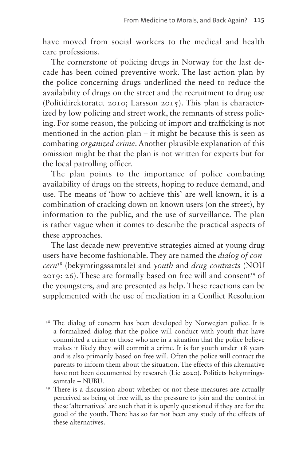have moved from social workers to the medical and health care professions.

The cornerstone of policing drugs in Norway for the last decade has been coined preventive work. The last action plan by the police concerning drugs underlined the need to reduce the availability of drugs on the street and the recruitment to drug use (Politidirektoratet 2010; Larsson 2015). This plan is characterized by low policing and street work, the remnants of stress policing. For some reason, the policing of import and trafficking is not mentioned in the action plan – it might be because this is seen as combating *organized crime*. Another plausible explanation of this omission might be that the plan is not written for experts but for the local patrolling officer.

The plan points to the importance of police combating availability of drugs on the streets, hoping to reduce demand, and use. The means of 'how to achieve this' are well known, it is a combination of cracking down on known users (on the street), by information to the public, and the use of surveillance. The plan is rather vague when it comes to describe the practical aspects of these approaches.

The last decade new preventive strategies aimed at young drug users have become fashionable. They are named the *dialog of concern*[38](#page-12-0) (bekymringssamtale) and *youth* and *drug contracts* (NOU  $2019: 26$ . These are formally based on free will and consent<sup>39</sup> of the youngsters, and are presented as help. These reactions can be supplemented with the use of mediation in a Conflict Resolution

<span id="page-12-0"></span><sup>&</sup>lt;sup>38</sup> The dialog of concern has been developed by Norwegian police. It is a formalized dialog that the police will conduct with youth that have committed a crime or those who are in a situation that the police believe makes it likely they will commit a crime. It is for youth under 18 years and is also primarily based on free will. Often the police will contact the parents to inform them about the situation. The effects of this alternative have not been documented by research (Lie 2020). Politiets bekymringssamtale – NUBU.

<span id="page-12-1"></span><sup>39</sup> There is a discussion about whether or not these measures are actually perceived as being of free will, as the pressure to join and the control in these 'alternatives' are such that it is openly questioned if they are for the good of the youth. There has so far not been any study of the effects of these alternatives.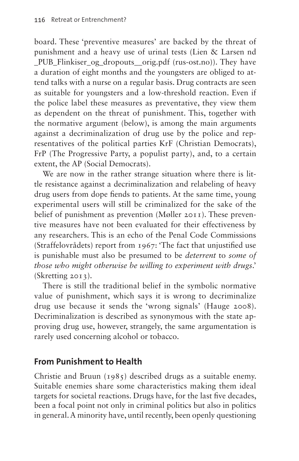board. These 'preventive measures' are backed by the threat of punishment and a heavy use of urinal tests (Lien & Larsen nd PUB Flinkiser og dropouts orig.pdf (rus-ost.no)). They have a duration of eight months and the youngsters are obliged to attend talks with a nurse on a regular basis. Drug contracts are seen as suitable for youngsters and a low-threshold reaction. Even if the police label these measures as preventative, they view them as dependent on the threat of punishment. This, together with the normative argument (below), is among the main arguments against a decriminalization of drug use by the police and representatives of the political parties KrF (Christian Democrats), FrP (The Progressive Party, a populist party), and, to a certain extent, the AP (Social Democrats).

We are now in the rather strange situation where there is little resistance against a decriminalization and relabeling of heavy drug users from dope fiends to patients. At the same time, young experimental users will still be criminalized for the sake of the belief of punishment as prevention (Møller 2011). These preventive measures have not been evaluated for their effectiveness by any researchers. This is an echo of the Penal Code Commissions (Straffelovrådets) report from 1967: 'The fact that unjustified use is punishable must also be presumed to be *deterrent* to *some of those who might otherwise be willing to experiment with drugs*.' (Skretting 2013).

There is still the traditional belief in the symbolic normative value of punishment, which says it is wrong to decriminalize drug use because it sends the 'wrong signals' (Hauge 2008). Decriminalization is described as synonymous with the state approving drug use, however, strangely, the same argumentation is rarely used concerning alcohol or tobacco.

#### **From Punishment to Health**

Christie and Bruun (1985) described drugs as a suitable enemy. Suitable enemies share some characteristics making them ideal targets for societal reactions. Drugs have, for the last five decades, been a focal point not only in criminal politics but also in politics in general. A minority have, until recently, been openly questioning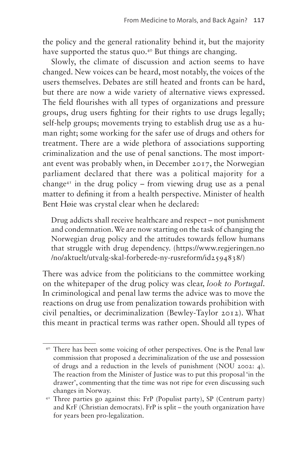the policy and the general rationality behind it, but the majority have supported the status quo.<sup>[40](#page-14-0)</sup> But things are changing.

Slowly, the climate of discussion and action seems to have changed. New voices can be heard, most notably, the voices of the users themselves. Debates are still heated and fronts can be hard, but there are now a wide variety of alternative views expressed. The field flourishes with all types of organizations and pressure groups, drug users fighting for their rights to use drugs legally; self-help groups; movements trying to establish drug use as a human right; some working for the safer use of drugs and others for treatment. There are a wide plethora of associations supporting criminalization and the use of penal sanctions. The most important event was probably when, in December 2017, the Norwegian parliament declared that there was a political majority for a change<sup>41</sup> in the drug policy – from viewing drug use as a penal matter to defining it from a health perspective. Minister of health Bent Høie was crystal clear when he declared:

Drug addicts shall receive healthcare and respect – not punishment and condemnation. We are now starting on the task of changing the Norwegian drug policy and the attitudes towards fellow humans that struggle with drug dependency. ([https://www.regjeringen.no](https://www.regjeringen.no/no/aktuelt/utvalg-skal-forberede-ny-rusreform/id2594838/) [/no/aktuelt/utvalg-skal-forberede-ny-rusreform/id2594838/\)](https://www.regjeringen.no/no/aktuelt/utvalg-skal-forberede-ny-rusreform/id2594838/)

There was advice from the politicians to the committee working on the whitepaper of the drug policy was clear, *look to Portugal*. In criminological and penal law terms the advice was to move the reactions on drug use from penalization towards prohibition with civil penalties, or decriminalization (Bewley-Taylor 2012). What this meant in practical terms was rather open. Should all types of

<span id="page-14-0"></span><sup>40</sup> There has been some voicing of other perspectives. One is the Penal law commission that proposed a decriminalization of the use and possession of drugs and a reduction in the levels of punishment (NOU 2002: 4). The reaction from the Minister of Justice was to put this proposal 'in the drawer', commenting that the time was not ripe for even discussing such changes in Norway.

<span id="page-14-1"></span><sup>&</sup>lt;sup>41</sup> Three parties go against this: FrP (Populist party), SP (Centrum party) and KrF (Christian democrats). FrP is split – the youth organization have for years been pro-legalization.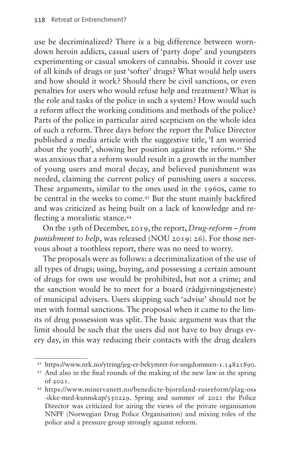use be decriminalized? There is a big difference between worndown heroin addicts, casual users of 'party dope' and youngsters experimenting or casual smokers of cannabis. Should it cover use of all kinds of drugs or just 'softer' drugs? What would help users and how should it work? Should there be civil sanctions, or even penalties for users who would refuse help and treatment? What is the role and tasks of the police in such a system? How would such a reform affect the working conditions and methods of the police? Parts of the police in particular aired scepticism on the whole idea of such a reform. Three days before the report the Police Director published a media article with the suggestive title, 'I am worried about the youth', showing her position against the reform[.42](#page-15-0) She was anxious that a reform would result in a growth in the number of young users and moral decay, and believed punishment was needed, claiming the current policy of punishing users a success. These arguments, similar to the ones used in the 1960s, came to be central in the weeks to come[.43](#page-15-1) But the stunt mainly backfired and was criticized as being built on a lack of knowledge and re-flecting a moralistic stance.<sup>[44](#page-15-2)</sup>

On the 19th of December, 2019, the report, *Drug-reform – from punishment to help*, was released (NOU 2019: 26). For those nervous about a toothless report, there was no need to worry.

The proposals were as follows: a decriminalization of the use of all types of drugs; using, buying, and possessing a certain amount of drugs for own use would be prohibited, but not a crime; and the sanction would be to meet for a board (rådgivningstjeneste) of municipal advisers. Users skipping such 'advise' should not be met with formal sanctions. The proposal when it came to the limits of drug possession was split. The basic argument was that the limit should be such that the users did not have to buy drugs every day, in this way reducing their contacts with the drug dealers

<span id="page-15-0"></span><sup>42</sup> [https://www.nrk.no/ytring/jeg-er-bekymret-for-ungdommen-1.14821890.](https://www.nrk.no/ytring/jeg-er-bekymret-for-ungdommen-1.14821890)

<span id="page-15-1"></span><sup>43</sup> And also in the final rounds of the making of the new law in the spring of 2021.

<span id="page-15-2"></span><sup>44</sup> [https://www.minervanett.no/benedicte-bjornland-rusreform/plag-oss](https://www.minervanett.no/benedicte-bjornland-rusreform/plag-oss-ikke-med-kunnskap/350229) [-ikke-med-kunnskap/350229](https://www.minervanett.no/benedicte-bjornland-rusreform/plag-oss-ikke-med-kunnskap/350229). Spring and summer of 2021 the Police Director was criticized for airing the views of the private organisation NNPF (Norwegian Drug Police Organisation) and mixing roles of the police and a pressure group strongly against reform.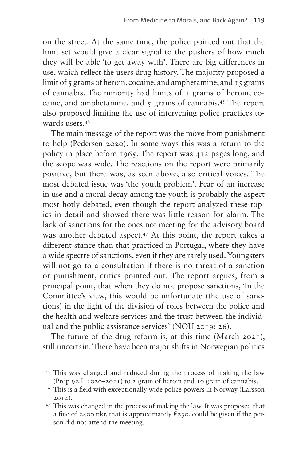on the street. At the same time, the police pointed out that the limit set would give a clear signal to the pushers of how much they will be able 'to get away with'. There are big differences in use, which reflect the users drug history. The majority proposed a limit of 5 grams of heroin, cocaine, and amphetamine, and 15 grams of cannabis. The minority had limits of 1 grams of heroin, cocaine, and amphetamine, and  $\zeta$  grams of cannabis.<sup>45</sup> The report also proposed limiting the use of intervening police practices towards users.[46](#page-16-1)

The main message of the report was the move from punishment to help (Pedersen 2020). In some ways this was a return to the policy in place before 1965. The report was 412 pages long, and the scope was wide. The reactions on the report were primarily positive, but there was, as seen above, also critical voices. The most debated issue was 'the youth problem'. Fear of an increase in use and a moral decay among the youth is probably the aspect most hotly debated, even though the report analyzed these topics in detail and showed there was little reason for alarm. The lack of sanctions for the ones not meeting for the advisory board was another debated aspect.<sup>47</sup> At this point, the report takes a different stance than that practiced in Portugal, where they have a wide spectre of sanctions, even if they are rarely used. Youngsters will not go to a consultation if there is no threat of a sanction or punishment, critics pointed out. The report argues, from a principal point, that when they do not propose sanctions, 'In the Committee's view, this would be unfortunate (the use of sanctions) in the light of the division of roles between the police and the health and welfare services and the trust between the individual and the public assistance services' (NOU 2019: 26).

The future of the drug reform is, at this time (March 2021), still uncertain. There have been major shifts in Norwegian politics

<span id="page-16-0"></span><sup>45</sup> This was changed and reduced during the process of making the law (Prop 92.L 2020–2021) to 2 gram of heroin and 10 gram of cannabis.

<span id="page-16-1"></span><sup>46</sup> This is a field with exceptionally wide police powers in Norway (Larsson  $2014$ ).

<span id="page-16-2"></span><sup>47</sup> This was changed in the process of making the law. It was proposed that a fine of 2400 nkr, that is approximately  $\epsilon$ 230, could be given if the person did not attend the meeting.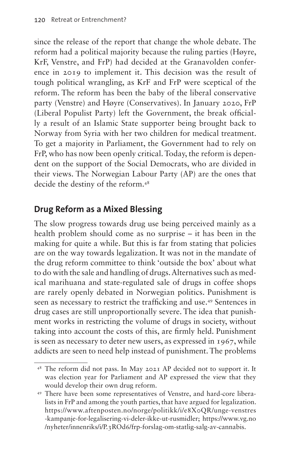since the release of the report that change the whole debate. The reform had a political majority because the ruling parties (Høyre, KrF, Venstre, and FrP) had decided at the Granavolden conference in 2019 to implement it. This decision was the result of tough political wrangling, as KrF and FrP were sceptical of the reform. The reform has been the baby of the liberal conservative party (Venstre) and Høyre (Conservatives). In January 2020, FrP (Liberal Populist Party) left the Government, the break officially a result of an Islamic State supporter being brought back to Norway from Syria with her two children for medical treatment. To get a majority in Parliament, the Government had to rely on FrP, who has now been openly critical. Today, the reform is dependent on the support of the Social Democrats, who are divided in their views. The Norwegian Labour Party (AP) are the ones that decide the destiny of the reform.<sup>[48](#page-17-0)</sup>

# **Drug Reform as a Mixed Blessing**

The slow progress towards drug use being perceived mainly as a health problem should come as no surprise – it has been in the making for quite a while. But this is far from stating that policies are on the way towards legalization. It was not in the mandate of the drug reform committee to think 'outside the box' about what to do with the sale and handling of drugs. Alternatives such as medical marihuana and state-regulated sale of drugs in coffee shops are rarely openly debated in Norwegian politics. Punishment is seen as necessary to restrict the trafficking and use.[49](#page-17-1) Sentences in drug cases are still unproportionally severe. The idea that punishment works in restricting the volume of drugs in society, without taking into account the costs of this, are firmly held. Punishment is seen as necessary to deter new users, as expressed in 1967, while addicts are seen to need help instead of punishment. The problems

<span id="page-17-0"></span><sup>48</sup> The reform did not pass. In May 2021 AP decided not to support it. It was election year for Parliament and AP expressed the view that they would develop their own drug reform. 49 There have been some representatives of Venstre, and hard-core libera-

<span id="page-17-1"></span>lists in FrP and among the youth parties, that have argued for legalization. [https://www.aftenposten.no/norge/politikk/i/e8X0QR/unge-venstres](https://www.aftenposten.no/norge/politikk/i/e8X0QR/unge-venstres-kampanje-for-legalisering-vi-deler-ikke-ut-rusmidler) [-kampanje-for-legalisering-vi-deler-ikke-ut-rusmidler](https://www.aftenposten.no/norge/politikk/i/e8X0QR/unge-venstres-kampanje-for-legalisering-vi-deler-ikke-ut-rusmidler); [https://www.vg.no](https://www.vg.no/nyheter/innenriks/i/P.3ROd6/frp-forslag-om-statlig-salg-av-cannabis) [/nyheter/innenriks/i/P.3ROd6/frp-forslag-om-statlig-salg-av-cannabis](https://www.vg.no/nyheter/innenriks/i/P.3ROd6/frp-forslag-om-statlig-salg-av-cannabis).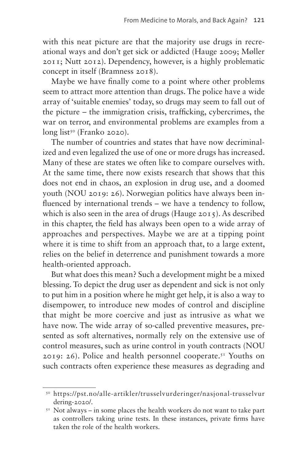with this neat picture are that the majority use drugs in recreational ways and don't get sick or addicted (Hauge 2009; Møller 2011; Nutt 2012). Dependency, however, is a highly problematic concept in itself (Bramness 2018).

Maybe we have finally come to a point where other problems seem to attract more attention than drugs. The police have a wide array of 'suitable enemies' today, so drugs may seem to fall out of the picture – the immigration crisis, trafficking, cybercrimes, the war on terror, and environmental problems are examples from a  $long$  list<sup>50</sup> (Franko 2020).

The number of countries and states that have now decriminalized and even legalized the use of one or more drugs has increased. Many of these are states we often like to compare ourselves with. At the same time, there now exists research that shows that this does not end in chaos, an explosion in drug use, and a doomed youth (NOU 2019: 26). Norwegian politics have always been influenced by international trends – we have a tendency to follow, which is also seen in the area of drugs (Hauge 2015). As described in this chapter, the field has always been open to a wide array of approaches and perspectives. Maybe we are at a tipping point where it is time to shift from an approach that, to a large extent, relies on the belief in deterrence and punishment towards a more health-oriented approach.

But what does this mean? Such a development might be a mixed blessing. To depict the drug user as dependent and sick is not only to put him in a position where he might get help, it is also a way to disempower, to introduce new modes of control and discipline that might be more coercive and just as intrusive as what we have now. The wide array of so-called preventive measures, presented as soft alternatives, normally rely on the extensive use of control measures, such as urine control in youth contracts (NOU 2019: 26). Police and health personnel cooperate.<sup>[51](#page-18-1)</sup> Youths on such contracts often experience these measures as degrading and

<span id="page-18-0"></span><sup>50</sup> [https://pst.no/alle-artikler/trusselvurderinger/nasjonal-trusselvur](https://pst.no/alle-artikler/trusselvurderinger/nasjonal-trusselvurdering-2020/) [dering-2020/.](https://pst.no/alle-artikler/trusselvurderinger/nasjonal-trusselvurdering-2020/)

<span id="page-18-1"></span> $5<sup>T</sup>$  Not always – in some places the health workers do not want to take part as controllers taking urine tests. In these instances, private firms have taken the role of the health workers.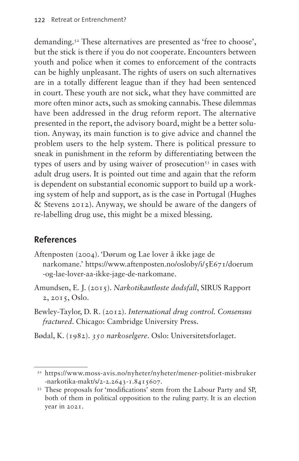demanding.<sup>52</sup> These alternatives are presented as 'free to choose', but the stick is there if you do not cooperate. Encounters between youth and police when it comes to enforcement of the contracts can be highly unpleasant. The rights of users on such alternatives are in a totally different league than if they had been sentenced in court. These youth are not sick, what they have committed are more often minor acts, such as smoking cannabis. These dilemmas have been addressed in the drug reform report. The alternative presented in the report, the advisory board, might be a better solution. Anyway, its main function is to give advice and channel the problem users to the help system. There is political pressure to sneak in punishment in the reform by differentiating between the types of users and by using waiver of prosecution<sup>[53](#page-19-1)</sup> in cases with adult drug users. It is pointed out time and again that the reform is dependent on substantial economic support to build up a working system of help and support, as is the case in Portugal (Hughes & Stevens 2012). Anyway, we should be aware of the dangers of re-labelling drug use, this might be a mixed blessing.

# **References**

- Aftenposten (2004). 'Dørum og Lae lover å ikke jage de narkomane.' [https://www.aftenposten.no/osloby/i/5E671/doerum](https://www.aftenposten.no/osloby/i/5E671/doerum-og-lae-lover-aa-ikke-jage-de-narkomane) [-og-lae-lover-aa-ikke-jage-de-narkomane.](https://www.aftenposten.no/osloby/i/5E671/doerum-og-lae-lover-aa-ikke-jage-de-narkomane)
- Amundsen, E. J. (2015). *Narkotikautløste dødsfall*, SIRUS Rapport 2, 2015, Oslo.
- Bewley-Taylor, D. R. (2012). *International drug control. Consensus fractured*. Chicago: Cambridge University Press.
- Bødal, K. (1982). *350 narkoselgere*. Oslo: Universitetsforlaget.

<span id="page-19-0"></span><sup>52</sup> [https://www.moss-avis.no/nyheter/nyheter/mener-politiet-misbruker](https://www.moss-avis.no/nyheter/nyheter/mener-politiet-misbruker-narkotika-makt/s/2-2.2643-1.8415607) [-narkotika-makt/s/2-2.2643-1.8415607](https://www.moss-avis.no/nyheter/nyheter/mener-politiet-misbruker-narkotika-makt/s/2-2.2643-1.8415607).

<span id="page-19-1"></span><sup>53</sup> These proposals for 'modifications' stem from the Labour Party and SP, both of them in political opposition to the ruling party. It is an election year in 2021.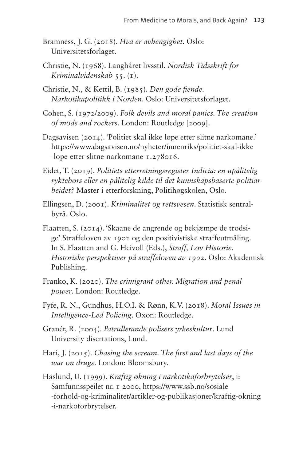- Bramness, J. G. (2018). *Hva er avhengighet*. Oslo: Universitetsforlaget.
- Christie, N. (1968). Langhåret livsstil. *Nordisk Tidsskrift for Kriminalvidenskab* 55. (1).
- Christie, N., & Kettil, B. (1985). *Den gode fiende. Narkotikapolitikk i Norden*. Oslo: Universitetsforlaget.
- Cohen, S. (1972/2009). *Folk devils and moral panics. The creation of mods and rockers*. London: Routledge [2009].
- Dagsavisen (2014). 'Politiet skal ikke løpe etter slitne narkomane.' [https://www.dagsavisen.no/nyheter/innenriks/politiet-skal-ikke](https://www.dagsavisen.no/nyheter/innenriks/politiet-skal-ikke-lope-etter-slitne-narkomane-1.278016) [-lope-etter-slitne-narkomane-1.278016](https://www.dagsavisen.no/nyheter/innenriks/politiet-skal-ikke-lope-etter-slitne-narkomane-1.278016).
- Eidet, T. (2019). *Politiets etterretningsregister Indicia: en upålitelig ryktebørs eller en pålitelig kilde til det kunnskapsbaserte politiarbeidet?* Master i etterforskning, Politihøgskolen, Oslo.
- Ellingsen, D. (2001). *Kriminalitet og rettsvesen*. Statistisk sentralbyrå. Oslo.
- Flaatten, S. (2014). 'Skaane de angrende og bekjæmpe de trodsige' Straffeloven av 1902 og den positivistiske straffeutmåling. In S. Flaatten and G. Heivoll (Eds.), *Straff, Lov Historie*. *Historiske perspektiver på straffeloven av 1902*. Oslo: Akademisk Publishing.
- Franko, K. (2020). *The crimigrant other. Migration and penal power*. London: Routledge.
- Fyfe, R. N., Gundhus, H.O.I. & Rønn, K.V. (2018). *Moral Issues in Intelligence-Led Policing*. Oxon: Routledge.
- Granér, R. (2004). *Patrullerande polisers yrkeskultur*. Lund University disertations, Lund.
- Hari, J. (2015). *Chasing the scream. The first and last days of the war on drugs*. London: Bloomsbury.

Haslund, U. (1999). *Kraftig økning i narkotikaforbrytelser*, i: Samfunnsspeilet nr. 1 2000, [https://www.ssb.no/sosiale](https://www.ssb.no/sosiale-forhold-og-kriminalitet/artikler-og-publikasjoner/kraftig-okning-i-narkoforbrytelser) [-forhold-og-kriminalitet/artikler-og-publikasjoner/kraftig-okning](https://www.ssb.no/sosiale-forhold-og-kriminalitet/artikler-og-publikasjoner/kraftig-okning-i-narkoforbrytelser) [-i-narkoforbrytelser.](https://www.ssb.no/sosiale-forhold-og-kriminalitet/artikler-og-publikasjoner/kraftig-okning-i-narkoforbrytelser)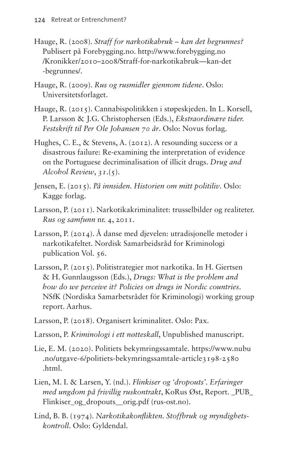- Hauge, R. (2008). *Straff for narkotikabruk kan det begrunnes?* Publisert på [Forebygging.no.](http://Forebygging.no) [http://www.forebygging.no](http://www.forebygging.no/Kronikker/2010–2008/Straff-for-narkotikabruk—kan-det-begrunnes/) [/Kronikker/2010–2008/Straff-for-narkotikabruk—kan-det](http://www.forebygging.no/Kronikker/2010–2008/Straff-for-narkotikabruk—kan-det-begrunnes/) [-begrunnes/.](http://www.forebygging.no/Kronikker/2010–2008/Straff-for-narkotikabruk—kan-det-begrunnes/)
- Hauge, R. (2009). *Rus og rusmidler gjennom tidene*. Oslo: Universitetsforlaget.
- Hauge, R. (2015). Cannabispolitikken i støpeskjeden. In L. Korsell, P. Larsson & J.G. Christophersen (Eds.), *Ekstraordinære tider. Festskrift til Per Ole Johansen 70 år*. Oslo: Novus forlag.
- Hughes, C. E., & Stevens, A. (2012). A resounding success or a disastrous failure: Re-examining the interpretation of evidence on the Portuguese decriminalisation of illicit drugs. *Drug and Alcohol Review*, *31*.(5).
- Jensen, E. (2015). *På innsiden. Historien om mitt politiliv*. Oslo: Kagge forlag.
- Larsson, P. (2011). Narkotikakriminalitet: trusselbilder og realiteter. *Rus og samfunn* nr. 4, 2011.
- Larsson, P. (2014). Å danse med djevelen: utradisjonelle metoder i narkotikafeltet. Nordisk Samarbeidsråd for Kriminologi publication Vol. 56.
- Larsson, P. (2015). Politistrategier mot narkotika. In H. Giertsen & H. Gunnlaugsson (Eds.), *Drugs: What is the problem and how do we perceive it? Policies on drugs in Nordic countries*. NSfK (Nordiska Samarbetsrådet för Kriminologi) working group report. Aarhus.
- Larsson, P. (2018). Organisert kriminalitet. Oslo: Pax.
- Larsson, P. *Kriminologi i ett nøtteskall*, Unpublished manuscript.
- Lie, E. M. (2020). Politiets bekymringssamtale. [https://www.nubu](https://www.nubu.no/utgave-6/politiets-bekymringssamtale-article3198-2580.html) [.no/utgave-6/politiets-bekymringssamtale-article3198-2580](https://www.nubu.no/utgave-6/politiets-bekymringssamtale-article3198-2580.html) [.html.](https://www.nubu.no/utgave-6/politiets-bekymringssamtale-article3198-2580.html)
- Lien, M. I. & Larsen, Y. (nd.). *Flinkiser og 'dropouts'. Erfaringer med ungdom på frivillig ruskontrakt*, KoRus Øst, Report. [\\_PUB\\_](https://www.rus-ost.no/uploads/_PUB_Flinkiser_og_dropouts__orig.pdf) [Flinkiser\\_og\\_dropouts\\_\\_orig.pdf \(rus-ost.no\).](https://www.rus-ost.no/uploads/_PUB_Flinkiser_og_dropouts__orig.pdf)
- Lind, B. B. (1974). *Narkotikakonflikten. Stoffbruk og myndighetskontroll*. Oslo: Gyldendal.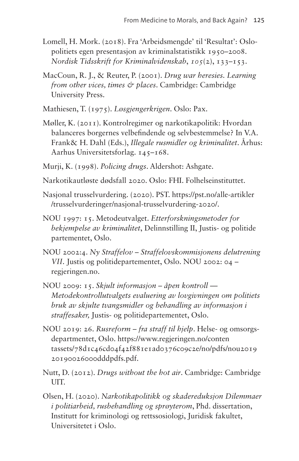- Lomell, H. Mork. (2018). Fra 'Arbeidsmengde' til 'Resultat': Oslopolitiets egen presentasjon av kriminalstatistikk 1950–2008. *Nordisk Tidsskrift for Kriminalvidenskab*, *105*(2), 133–153.
- MacCoun, R. J., & Reuter, P. (2001). *Drug war heresies. Learning from other vices, times & places*. Cambridge: Cambridge University Press.
- Mathiesen, T. (1975). *Løsgjengerkrigen*. Oslo: Pax.
- Møller, K. (2011). Kontrolregimer og narkotikapolitik: Hvordan balanceres borgernes velbefindende og selvbestemmelse? In V.A. Frank& H. Dahl (Eds.), *Illegale rusmidler og kriminalitet*. Århus: Aarhus Universitetsforlag. 145–168.
- Murji, K. (1998). *Policing drugs*. Aldershot: Ashgate.
- [Narkotikautløste](https://www.fhi.no/nettpub/narkotikainorge/konsekvenser-av-narkotikabruk/narkotikautloste-dodsfall-2020/) dødsfall 2020. Oslo: FHI. Folhelseinstituttet.
- Nasjonal trusselvurdering. (2020). PST. [https://pst.no/alle-artikler](https://pst.no/alle-artikler/trusselvurderinger/nasjonal-trusselvurdering-2020/) [/trusselvurderinger/nasjonal-trusselvurdering-2020/.](https://pst.no/alle-artikler/trusselvurderinger/nasjonal-trusselvurdering-2020/)
- NOU 1997: 15. Metodeutvalget. *Etterforskningsmetoder for bekjempelse av kriminalitet*, Delinnstilling II, Justis- og politide partementet, Oslo.
- NOU 2002:4. *Ny Straffelov Straffelovskommisjonens delutrening VII*. Justis og politidepartementet, Oslo. [NOU 2002: 04 –](https://www.regjeringen.no/no/dokumenter/nou-2002-04/id380296/?ch=2)  [regjeringen.no.](https://www.regjeringen.no/no/dokumenter/nou-2002-04/id380296/?ch=2)
- NOU 2009: 15. *Skjult informasjon åpen kontroll Metodekontrollutvalgets evaluering av lovgivningen om politiets bruk av skjulte tvangsmidler og behandling av informasjon i straffesaker,* Justis- og politidepartementet, Oslo.
- NOU 2019: 26. *Rusreform fra straff til hjelp*. Helse- og omsorgsdepartmentet, Oslo. [https://www.regjeringen.no/conten](https://www.regjeringen.no/contentassets/78d1c46cd04f42f881e1ad0376c09c2e/no/pdfs/nou201920190026000dddpdfs.pdf) [tassets/78d1c46cd04f42f881e1ad0376c09c2e/no/pdfs/nou2019](https://www.regjeringen.no/contentassets/78d1c46cd04f42f881e1ad0376c09c2e/no/pdfs/nou201920190026000dddpdfs.pdf) [20190026000dddpdfs.pdf](https://www.regjeringen.no/contentassets/78d1c46cd04f42f881e1ad0376c09c2e/no/pdfs/nou201920190026000dddpdfs.pdf).
- Nutt, D. (2012). *Drugs without the hot air*. Cambridge: Cambridge UIT.
- Olsen, H. (2020). *Narkotikapolitikk og skadereduksjon Dilemmaer i politiarbeid, rusbehandling og sprøyterom*, Phd. dissertation, Institutt for kriminologi og rettssosiologi, Juridisk fakultet, Universitetet i Oslo.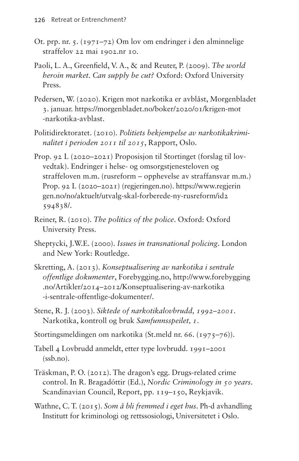- Ot. prp. nr. 5. (1971–72) Om lov om endringer i den alminnelige straffelov 22 mai 1902.nr 10.
- Paoli, L. A., Greenfield, V. A., & and Reuter, P. (2009). *The world heroin market. Can supply be cut?* Oxford: Oxford University Press.
- Pedersen, W. (2020). Krigen mot narkotika er avblåst, Morgenbladet 3. januar. [https://morgenbladet.no/boker/2020/01/krigen-mot](https://morgenbladet.no/boker/2020/01/krigen-mot-narkotika-avblast) [-narkotika-avblast](https://morgenbladet.no/boker/2020/01/krigen-mot-narkotika-avblast).
- Politidirektoratet. (2010). *Politiets bekjempelse av narkotikakriminalitet i perioden 2011 til 2015*, Rapport, Oslo.
- Prop. 92 L (2020–2021) Proposisjon til Stortinget (forslag til lovvedtak). Endringer i helse- og omsorgstjenesteloven og straffeloven m.m. (rusreform – opphevelse av straffansvar m.m.) Prop. 92 L (2020–2021) [\(regjeringen.no](http://regjeringen.no)). [https://www.regjerin](https://www.regjeringen.no/no/aktuelt/utvalg-skal-forberede-ny-rusreform/id2594838/) [gen.no/no/aktuelt/utvalg-skal-forberede-ny-rusreform/id2](https://www.regjeringen.no/no/aktuelt/utvalg-skal-forberede-ny-rusreform/id2594838/) [594838/.](https://www.regjeringen.no/no/aktuelt/utvalg-skal-forberede-ny-rusreform/id2594838/)
- Reiner, R. (2010). *The politics of the police*. Oxford: Oxford University Press.
- Sheptycki, J.W.E. (2000). *Issues in transnational policing*. London and New York: Routledge.
- Skretting, A. (2013). *Konseptualisering av narkotika i sentrale offentlige dokumenter*, [Forebygging.no,](http://Forebygging.no) [http://www.forebygging](http://www.forebygging.no/Artikler/2014-2012/Konseptualisering-av-narkotika-i-sentrale-offentlige-dokumenter/) [.no/Artikler/2014–2012/Konseptualisering-av-narkotika](http://www.forebygging.no/Artikler/2014-2012/Konseptualisering-av-narkotika-i-sentrale-offentlige-dokumenter/) [-i-sentrale-offentlige-dokumenter/.](http://www.forebygging.no/Artikler/2014-2012/Konseptualisering-av-narkotika-i-sentrale-offentlige-dokumenter/)
- Stene, R. J. (2003). *Siktede of narkotikalovbrudd, 1992–2001*. Narkotika, kontroll og bruk *Samfunnsspeilet, 1*.
- Stortingsmeldingen om narkotika (St.meld nr. 66. (1975–76)).
- [Tabell 4 Lovbrudd anmeldt, etter type lovbrudd. 1991–2001](https://www.ssb.no/a/kortnavn/a_krim_tab/tab/tab-2002-05-30-04.html)  [\(ssb.no\).](https://www.ssb.no/a/kortnavn/a_krim_tab/tab/tab-2002-05-30-04.html)
- Träskman, P. O. (2012). The dragon's egg. Drugs-related crime control. In R. Bragadóttir (Ed.), *Nordic Criminology in 50 years*. Scandinavian Council, Report, pp. 119–150, Reykjavik.
- Wathne, C. T. (2015). *Som å bli fremmed i eget hus*. Ph-d avhandling Institutt for kriminologi og rettssosiologi, Universitetet i Oslo.